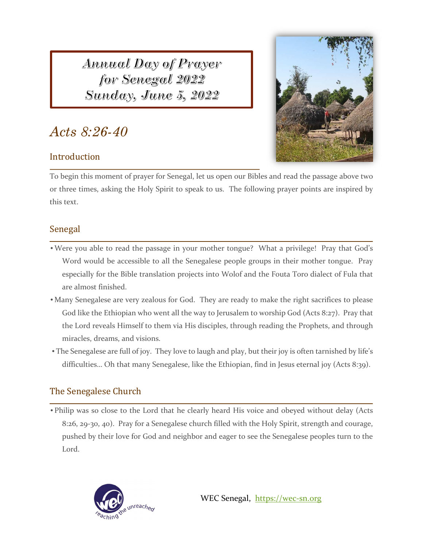*Annual Day of Prayer* for Senegal 2022 Sunday, June 5, 2022

# *Acts 8:26-40*

## Introduction

I



To begin this moment of prayer for Senegal, let us open our Bibles and read the passage above two or three times, asking the Holy Spirit to speak to us. The following prayer points are inspired by this text.

### Senegal

- Were you able to read the passage in your mother tongue? What a privilege! Pray that God's Word would be accessible to all the Senegalese people groups in their mother tongue. Pray especially for the Bible translation projects into Wolof and the Fouta Toro dialect of Fula that are almost finished.
- Many Senegalese are very zealous for God. They are ready to make the right sacrifices to please God like the Ethiopian who went all the way to Jerusalem to worship God (Acts 8:27). Pray that the Lord reveals Himself to them via His disciples, through reading the Prophets, and through miracles, dreams, and visions.
- The Senegalese are full of joy. They love to laugh and play, but their joy is often tarnished by life's difficulties… Oh that many Senegalese, like the Ethiopian, find in Jesus eternal joy (Acts 8:39).

# The Senegalese Church

• Philip was so close to the Lord that he clearly heard His voice and obeyed without delay (Acts 8:26, 29‐30, 40). Pray for a Senegalese church filled with the Holy Spirit, strength and courage, pushed by their love for God and neighbor and eager to see the Senegalese peoples turn to the Lord.